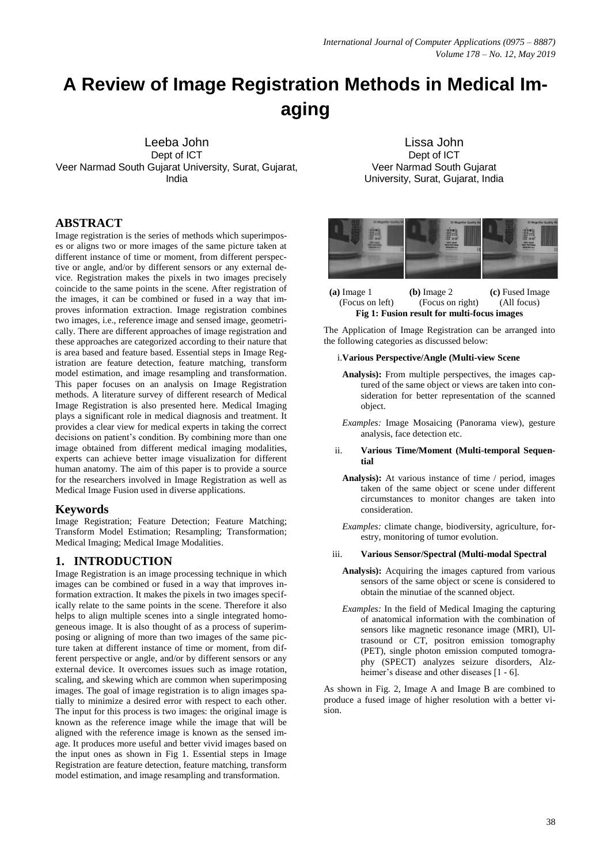# **A Review of Image Registration Methods in Medical Imaging**

Leeba John Dept of ICT Veer Narmad South Gujarat University, Surat, Gujarat, India

#### **ABSTRACT**

Image registration is the series of methods which superimposes or aligns two or more images of the same picture taken at different instance of time or moment, from different perspective or angle, and/or by different sensors or any external device. Registration makes the pixels in two images precisely coincide to the same points in the scene. After registration of the images, it can be combined or fused in a way that improves information extraction. Image registration combines two images, i.e., reference image and sensed image, geometrically. There are different approaches of image registration and these approaches are categorized according to their nature that is area based and feature based. Essential steps in Image Registration are feature detection, feature matching, transform model estimation, and image resampling and transformation. This paper focuses on an analysis on Image Registration methods. A literature survey of different research of Medical Image Registration is also presented here. Medical Imaging plays a significant role in medical diagnosis and treatment. It provides a clear view for medical experts in taking the correct decisions on patient's condition. By combining more than one image obtained from different medical imaging modalities, experts can achieve better image visualization for different human anatomy. The aim of this paper is to provide a source for the researchers involved in Image Registration as well as Medical Image Fusion used in diverse applications.

#### **Keywords**

Image Registration; Feature Detection; Feature Matching; Transform Model Estimation; Resampling; Transformation; Medical Imaging; Medical Image Modalities.

#### **1. INTRODUCTION**

Image Registration is an image processing technique in which images can be combined or fused in a way that improves information extraction. It makes the pixels in two images specifically relate to the same points in the scene. Therefore it also helps to align multiple scenes into a single integrated homogeneous image. It is also thought of as a process of superimposing or aligning of more than two images of the same picture taken at different instance of time or moment, from different perspective or angle, and/or by different sensors or any external device. It overcomes issues such as image rotation, scaling, and skewing which are common when superimposing images. The goal of image registration is to align images spatially to minimize a desired error with respect to each other. The input for this process is two images: the original image is known as the reference image while the image that will be aligned with the reference image is known as the sensed image. It produces more useful and better vivid images based on the input ones as shown in Fig 1. Essential steps in Image Registration are feature detection, feature matching, transform model estimation, and image resampling and transformation.

Lissa John Dept of ICT Veer Narmad South Gujarat University, Surat, Gujarat, India



**(a)** Image 1 **(b)** Image 2 **(c)** Fused Image (Focus on left) (Focus on right) (All focus) **Fig 1: Fusion result for multi-focus images**

The Application of Image Registration can be arranged into the following categories as discussed below:

#### i.**Various Perspective/Angle (Multi-view Scene**

- **Analysis):** From multiple perspectives, the images captured of the same object or views are taken into consideration for better representation of the scanned object.
- *Examples:* Image Mosaicing (Panorama view), gesture analysis, face detection etc.

#### ii. **Various Time/Moment (Multi-temporal Sequential**

**Analysis):** At various instance of time / period, images taken of the same object or scene under different circumstances to monitor changes are taken into consideration.

*Examples:* climate change, biodiversity, agriculture, forestry, monitoring of tumor evolution.

#### iii. **Various Sensor/Spectral (Multi-modal Spectral**

- **Analysis):** Acquiring the images captured from various sensors of the same object or scene is considered to obtain the minutiae of the scanned object.
- *Examples:* In the field of Medical Imaging the capturing of anatomical information with the combination of sensors like magnetic resonance image (MRI), Ultrasound or CT, positron emission tomography (PET), single photon emission computed tomography (SPECT) analyzes seizure disorders, Alzheimer's disease and other diseases [1 - 6].

As shown in Fig. 2, Image A and Image B are combined to produce a fused image of higher resolution with a better vision.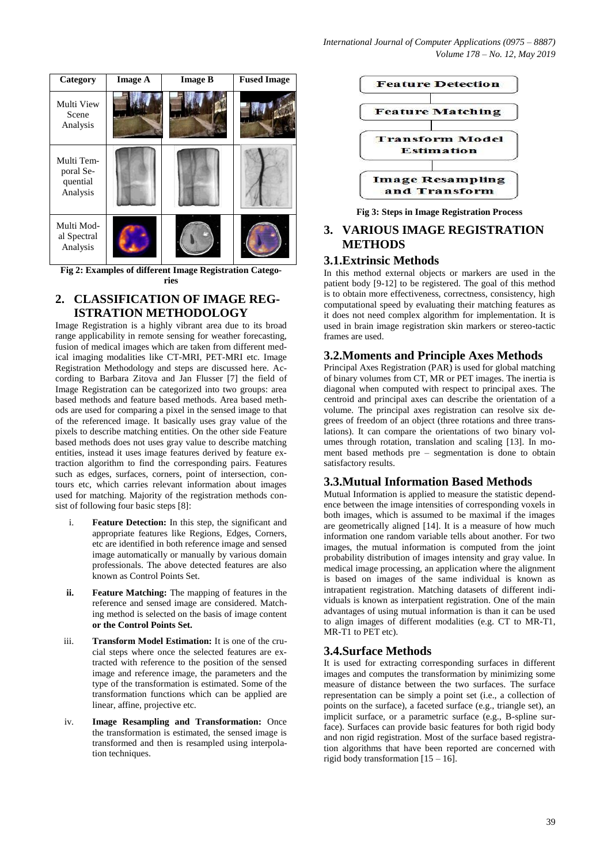

**Fig 2: Examples of different Image Registration Categories**

## **2. CLASSIFICATION OF IMAGE REG-ISTRATION METHODOLOGY**

Image Registration is a highly vibrant area due to its broad range applicability in remote sensing for weather forecasting, fusion of medical images which are taken from different medical imaging modalities like CT-MRI, PET-MRI etc. Image Registration Methodology and steps are discussed here. According to Barbara Zitova and Jan Flusser [7] the field of Image Registration can be categorized into two groups: area based methods and feature based methods. Area based methods are used for comparing a pixel in the sensed image to that of the referenced image. It basically uses gray value of the pixels to describe matching entities. On the other side Feature based methods does not uses gray value to describe matching entities, instead it uses image features derived by feature extraction algorithm to find the corresponding pairs. Features such as edges, surfaces, corners, point of intersection, contours etc, which carries relevant information about images used for matching. Majority of the registration methods consist of following four basic steps [8]:

- i. **Feature Detection:** In this step, the significant and appropriate features like Regions, Edges, Corners, etc are identified in both reference image and sensed image automatically or manually by various domain professionals. The above detected features are also known as Control Points Set.
- **ii. Feature Matching:** The mapping of features in the reference and sensed image are considered. Matching method is selected on the basis of image content **or the Control Points Set.**
- iii. **Transform Model Estimation:** It is one of the crucial steps where once the selected features are extracted with reference to the position of the sensed image and reference image, the parameters and the type of the transformation is estimated. Some of the transformation functions which can be applied are linear, affine, projective etc.
- iv. **Image Resampling and Transformation:** Once the transformation is estimated, the sensed image is transformed and then is resampled using interpolation techniques.



**Fig 3: Steps in Image Registration Process**

# **3. VARIOUS IMAGE REGISTRATION METHODS**

#### **3.1.Extrinsic Methods**

In this method external objects or markers are used in the patient body [9-12] to be registered. The goal of this method is to obtain more effectiveness, correctness, consistency, high computational speed by evaluating their matching features as it does not need complex algorithm for implementation. It is used in brain image registration skin markers or stereo-tactic frames are used.

## **3.2.Moments and Principle Axes Methods**

Principal Axes Registration (PAR) is used for global matching of binary volumes from CT, MR or PET images. The inertia is diagonal when computed with respect to principal axes. The centroid and principal axes can describe the orientation of a volume. The principal axes registration can resolve six degrees of freedom of an object (three rotations and three translations). It can compare the orientations of two binary volumes through rotation, translation and scaling [13]. In moment based methods pre – segmentation is done to obtain satisfactory results.

## **3.3.Mutual Information Based Methods**

Mutual Information is applied to measure the statistic dependence between the image intensities of corresponding voxels in both images, which is assumed to be maximal if the images are geometrically aligned [14]. It is a measure of how much information one random variable tells about another. For two images, the mutual information is computed from the joint probability distribution of images intensity and gray value. In medical image processing, an application where the alignment is based on images of the same individual is known as intrapatient registration. Matching datasets of different individuals is known as interpatient registration. One of the main advantages of using mutual information is than it can be used to align images of different modalities (e.g. CT to MR-T1, MR-T1 to PET etc).

## **3.4.Surface Methods**

It is used for extracting corresponding surfaces in different images and computes the transformation by minimizing some measure of distance between the two surfaces. The surface representation can be simply a point set (i.e., a collection of points on the surface), a faceted surface (e.g., triangle set), an implicit surface, or a parametric surface (e.g., B-spline surface). Surfaces can provide basic features for both rigid body and non rigid registration. Most of the surface based registration algorithms that have been reported are concerned with rigid body transformation [15 – 16].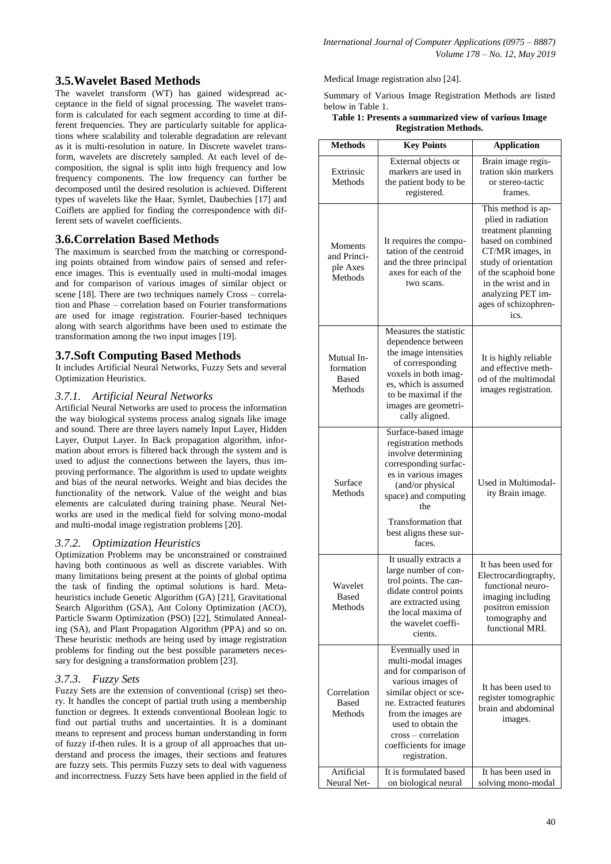## **3.5.Wavelet Based Methods**

The wavelet transform (WT) has gained widespread acceptance in the field of signal processing. The wavelet transform is calculated for each segment according to time at different frequencies. They are particularly suitable for applications where scalability and tolerable degradation are relevant as it is multi-resolution in nature. In Discrete wavelet transform, wavelets are discretely sampled. At each level of decomposition, the signal is split into high frequency and low frequency components. The low frequency can further be decomposed until the desired resolution is achieved. Different types of wavelets like the Haar, Symlet, Daubechies [17] and Coiflets are applied for finding the correspondence with different sets of wavelet coefficients.

#### **3.6.Correlation Based Methods**

The maximum is searched from the matching or corresponding points obtained from window pairs of sensed and reference images. This is eventually used in multi-modal images and for comparison of various images of similar object or scene [18]. There are two techniques namely Cross – correlation and Phase – correlation based on Fourier transformations are used for image registration. Fourier-based techniques along with search algorithms have been used to estimate the transformation among the two input images [19].

#### **3.7.Soft Computing Based Methods**

It includes Artificial Neural Networks, Fuzzy Sets and several Optimization Heuristics.

#### *3.7.1. Artificial Neural Networks*

Artificial Neural Networks are used to process the information the way biological systems process analog signals like image and sound. There are three layers namely Input Layer, Hidden Layer, Output Layer. In Back propagation algorithm, information about errors is filtered back through the system and is used to adjust the connections between the layers, thus improving performance. The algorithm is used to update weights and bias of the neural networks. Weight and bias decides the functionality of the network. Value of the weight and bias elements are calculated during training phase. Neural Networks are used in the medical field for solving mono-modal and multi-modal image registration problems [20].

#### *3.7.2. Optimization Heuristics*

Optimization Problems may be unconstrained or constrained having both continuous as well as discrete variables. With many limitations being present at the points of global optima the task of finding the optimal solutions is hard. Metaheuristics include Genetic Algorithm (GA) [21], Gravitational Search Algorithm (GSA), Ant Colony Optimization (ACO), Particle Swarm Optimization (PSO) [22], Stimulated Annealing (SA), and Plant Propagation Algorithm (PPA) and so on. These heuristic methods are being used by image registration problems for finding out the best possible parameters necessary for designing a transformation problem [23].

#### *3.7.3. Fuzzy Sets*

Fuzzy Sets are the extension of conventional (crisp) set theory. It handles the concept of partial truth using a membership function or degrees. It extends conventional Boolean logic to find out partial truths and uncertainties. It is a dominant means to represent and process human understanding in form of fuzzy if-then rules. It is a group of all approaches that understand and process the images, their sections and features are fuzzy sets. This permits Fuzzy sets to deal with vagueness and incorrectness. Fuzzy Sets have been applied in the field of Medical Image registration also [24].

Summary of Various Image Registration Methods are listed below in Table 1.

#### **Table 1: Presents a summarized view of various Image Registration Methods.**

| <b>Methods</b>                                       | <b>Key Points</b>                                                                                                                                                                                                                                         | <b>Application</b>                                                                                                                                                                                                                  |  |  |
|------------------------------------------------------|-----------------------------------------------------------------------------------------------------------------------------------------------------------------------------------------------------------------------------------------------------------|-------------------------------------------------------------------------------------------------------------------------------------------------------------------------------------------------------------------------------------|--|--|
| Extrinsic<br>Methods                                 | External objects or<br>markers are used in<br>the patient body to be<br>registered.                                                                                                                                                                       | Brain image regis-<br>tration skin markers<br>or stereo-tactic<br>frames.                                                                                                                                                           |  |  |
| <b>Moments</b><br>and Princi-<br>ple Axes<br>Methods | It requires the compu-<br>tation of the centroid<br>and the three principal<br>axes for each of the<br>two scans.                                                                                                                                         | This method is ap-<br>plied in radiation<br>treatment planning<br>based on combined<br>CT/MR images, in<br>study of orientation<br>of the scaphoid bone<br>in the wrist and in<br>analyzing PET im-<br>ages of schizophren-<br>ics. |  |  |
| Mutual In-<br>formation<br><b>Based</b><br>Methods   | Measures the statistic<br>dependence between<br>the image intensities<br>of corresponding<br>voxels in both imag-<br>es, which is assumed<br>to be maximal if the<br>images are geometri-<br>cally aligned.                                               | It is highly reliable<br>and effective meth-<br>od of the multimodal<br>images registration.                                                                                                                                        |  |  |
| Surface<br>Methods                                   | Surface-based image<br>registration methods<br>involve determining<br>corresponding surfac-<br>es in various images<br>(and/or physical<br>space) and computing<br>the<br><b>Transformation that</b>                                                      | Used in Multimodal-<br>ity Brain image.                                                                                                                                                                                             |  |  |
| Wavelet<br>Based<br>Methods                          | best aligns these sur-<br>faces.<br>It usually extracts a<br>large number of con-<br>trol points. The can-<br>didate control points<br>are extracted using<br>the local maxima of<br>the wavelet coeffi-<br>cients.                                       | It has been used for<br>Electrocardiography,<br>functional neuro-<br>imaging including<br>positron emission<br>tomography and<br>functional MRI.                                                                                    |  |  |
| Correlation<br><b>Based</b><br>Methods               | Eventually used in<br>multi-modal images<br>and for comparison of<br>various images of<br>similar object or sce-<br>ne. Extracted features<br>from the images are<br>used to obtain the<br>cross – correlation<br>coefficients for image<br>registration. | It has been used to<br>register tomographic<br>brain and abdominal<br>images.                                                                                                                                                       |  |  |
| Artificial<br>Neural Net-                            | It is formulated based<br>on biological neural                                                                                                                                                                                                            | It has been used in<br>solving mono-modal                                                                                                                                                                                           |  |  |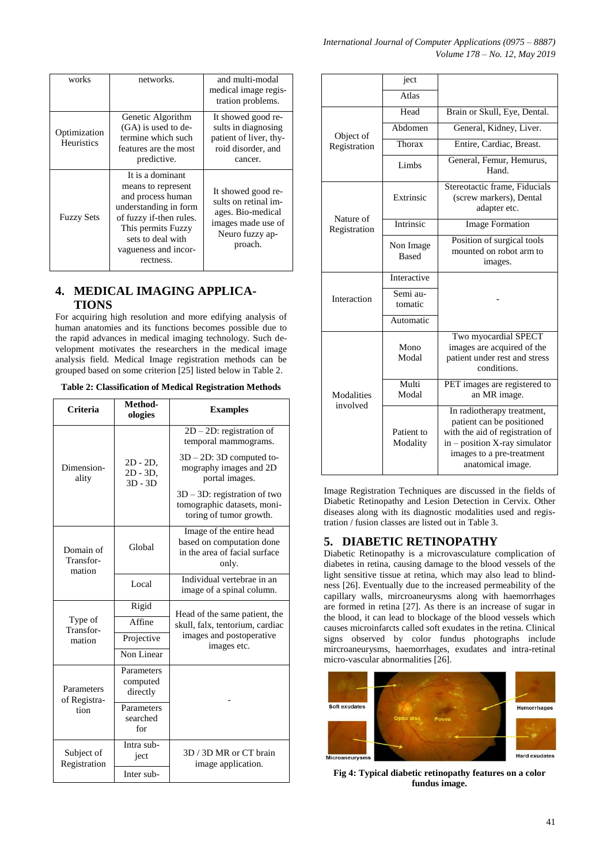| works                             | networks.                                                                                                                                                                                       | and multi-modal<br>medical image regis-<br>tration problems.                                                        |
|-----------------------------------|-------------------------------------------------------------------------------------------------------------------------------------------------------------------------------------------------|---------------------------------------------------------------------------------------------------------------------|
| Optimization<br><b>Heuristics</b> | Genetic Algorithm<br>(GA) is used to de-<br>termine which such<br>features are the most<br>predictive.                                                                                          | It showed good re-<br>sults in diagnosing<br>patient of liver, thy-<br>roid disorder, and<br>cancer.                |
| <b>Fuzzy Sets</b>                 | It is a dominant<br>means to represent<br>and process human<br>understanding in form<br>of fuzzy if-then rules.<br>This permits Fuzzy<br>sets to deal with<br>vagueness and incor-<br>rectness. | It showed good re-<br>sults on retinal im-<br>ages. Bio-medical<br>images made use of<br>Neuro fuzzy ap-<br>proach. |

# **4. MEDICAL IMAGING APPLICA-TIONS**

For acquiring high resolution and more edifying analysis of human anatomies and its functions becomes possible due to the rapid advances in medical imaging technology. Such development motivates the researchers in the medical image analysis field. Medical Image registration methods can be grouped based on some criterion [25] listed below in Table 2.

| <b>Table 2: Classification of Medical Registration Methods</b> |  |  |
|----------------------------------------------------------------|--|--|
|                                                                |  |  |

| <b>Criteria</b>                  | Method-<br>ologies                      | <b>Examples</b>                                                                                 |  |
|----------------------------------|-----------------------------------------|-------------------------------------------------------------------------------------------------|--|
|                                  |                                         | $2D - 2D$ : registration of<br>temporal mammograms.                                             |  |
| Dimension-<br>ality              | $2D - 2D$ ,<br>$2D - 3D$ ,<br>$3D - 3D$ | $3D - 2D$ : 3D computed to-<br>mography images and 2D<br>portal images.                         |  |
|                                  |                                         | $3D - 3D$ : registration of two<br>tomographic datasets, moni-<br>toring of tumor growth.       |  |
| Domain of<br>Transfor-<br>mation | Global                                  | Image of the entire head<br>based on computation done<br>in the area of facial surface<br>only. |  |
|                                  | Local                                   | Individual vertebrae in an<br>image of a spinal column.                                         |  |
|                                  | Rigid                                   | Head of the same patient, the                                                                   |  |
| Type of<br>Transfor-             | Affine                                  | skull, falx, tentorium, cardiac                                                                 |  |
| mation                           | Projective                              | images and postoperative<br>images etc.                                                         |  |
|                                  | Non Linear                              |                                                                                                 |  |
| Parameters<br>of Registra-       | Parameters<br>computed<br>directly      |                                                                                                 |  |
| tion                             | Parameters<br>searched<br>for           |                                                                                                 |  |
| Subject of<br>Registration       | Intra sub-<br>ject                      | 3D / 3D MR or CT brain<br>image application.                                                    |  |
|                                  | Inter sub-                              |                                                                                                 |  |

|                        | ject                      |                                                                                                                                                                               |  |
|------------------------|---------------------------|-------------------------------------------------------------------------------------------------------------------------------------------------------------------------------|--|
|                        | Atlas                     |                                                                                                                                                                               |  |
|                        | Head                      | Brain or Skull, Eye, Dental.                                                                                                                                                  |  |
| Object of              | Abdomen                   | General, Kidney, Liver.                                                                                                                                                       |  |
| Registration           | Thorax                    | Entire, Cardiac, Breast.                                                                                                                                                      |  |
|                        | Limbs                     | General, Femur, Hemurus,<br>Hand.                                                                                                                                             |  |
| Nature of              | Extrinsic                 | Stereotactic frame, Fiducials<br>(screw markers), Dental<br>adapter etc.                                                                                                      |  |
| Registration           | Intrinsic                 | <b>Image Formation</b>                                                                                                                                                        |  |
|                        | Non Image<br><b>Based</b> | Position of surgical tools<br>mounted on robot arm to<br>images.                                                                                                              |  |
|                        | Interactive               |                                                                                                                                                                               |  |
| Interaction            | Semi au-<br>tomatic       |                                                                                                                                                                               |  |
|                        | Automatic                 |                                                                                                                                                                               |  |
|                        | Mono<br>Modal             | Two myocardial SPECT<br>images are acquired of the<br>patient under rest and stress<br>conditions.                                                                            |  |
| Modalities<br>involved | Multi<br>Modal            | PET images are registered to<br>an MR image.                                                                                                                                  |  |
|                        | Patient to<br>Modality    | In radiotherapy treatment,<br>patient can be positioned<br>with the aid of registration of<br>in - position X-ray simulator<br>images to a pre-treatment<br>anatomical image. |  |

Image Registration Techniques are discussed in the fields of Diabetic Retinopathy and Lesion Detection in Cervix. Other diseases along with its diagnostic modalities used and registration / fusion classes are listed out in Table 3.

# **5. DIABETIC RETINOPATHY**

Diabetic Retinopathy is a microvasculature complication of diabetes in retina, causing damage to the blood vessels of the light sensitive tissue at retina, which may also lead to blindness [26]. Eventually due to the increased permeability of the capillary walls, mircroaneurysms along with haemorrhages are formed in retina [27]. As there is an increase of sugar in the blood, it can lead to blockage of the blood vessels which causes microinfarcts called soft exudates in the retina. Clinical signs observed by color fundus photographs include mircroaneurysms, haemorrhages, exudates and intra-retinal micro-vascular abnormalities [26].



**Fig 4: Typical diabetic retinopathy features on a color fundus image.**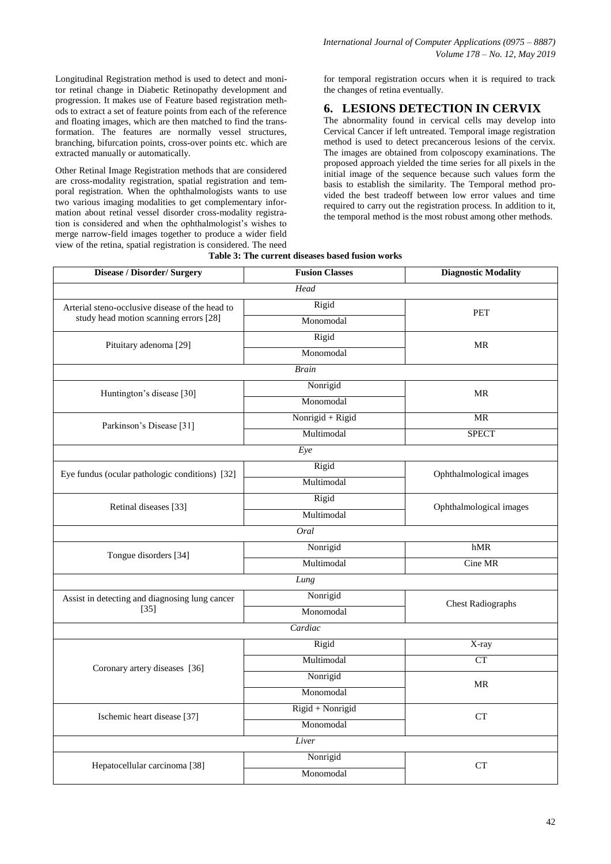Longitudinal Registration method is used to detect and monitor retinal change in Diabetic Retinopathy development and progression. It makes use of Feature based registration methods to extract a set of feature points from each of the reference and floating images, which are then matched to find the transformation. The features are normally vessel structures, branching, bifurcation points, cross-over points etc. which are extracted manually or automatically.

Other Retinal Image Registration methods that are considered are cross-modality registration, spatial registration and temporal registration. When the ophthalmologists wants to use two various imaging modalities to get complementary information about retinal vessel disorder cross-modality registration is considered and when the ophthalmologist's wishes to merge narrow-field images together to produce a wider field view of the retina, spatial registration is considered. The need for temporal registration occurs when it is required to track the changes of retina eventually.

#### **6. LESIONS DETECTION IN CERVIX**

The abnormality found in cervical cells may develop into Cervical Cancer if left untreated. Temporal image registration method is used to detect precancerous lesions of the cervix. The images are obtained from colposcopy examinations. The proposed approach yielded the time series for all pixels in the initial image of the sequence because such values form the basis to establish the similarity. The Temporal method provided the best tradeoff between low error values and time required to carry out the registration process. In addition to it, the temporal method is the most robust among other methods.

| Disease / Disorder/ Surgery                     | <b>Fusion Classes</b> | <b>Diagnostic Modality</b>        |
|-------------------------------------------------|-----------------------|-----------------------------------|
|                                                 | Head                  |                                   |
| Arterial steno-occlusive disease of the head to | Rigid                 | <b>PET</b>                        |
| study head motion scanning errors [28]          | Monomodal             |                                   |
|                                                 | Rigid                 | MR                                |
| Pituitary adenoma [29]                          | Monomodal             |                                   |
|                                                 | <b>Brain</b>          |                                   |
|                                                 | Nonrigid              | $\ensuremath{\mathsf{MR}}\xspace$ |
| Huntington's disease [30]                       | Monomodal             |                                   |
|                                                 | Nonrigid + Rigid      | <b>MR</b>                         |
| Parkinson's Disease [31]                        | Multimodal            | <b>SPECT</b>                      |
|                                                 | Eye                   |                                   |
|                                                 | Rigid                 |                                   |
| Eye fundus (ocular pathologic conditions) [32]  | Multimodal            | Ophthalmological images           |
|                                                 | Rigid                 |                                   |
| Retinal diseases [33]                           | Multimodal            | Ophthalmological images           |
|                                                 | Oral                  |                                   |
|                                                 | Nonrigid              | hMR                               |
| Tongue disorders [34]                           | Multimodal            | Cine MR                           |
|                                                 | Lung                  |                                   |
| Assist in detecting and diagnosing lung cancer  | Nonrigid              | <b>Chest Radiographs</b>          |
| $[35]$                                          | Monomodal             |                                   |
|                                                 | Cardiac               |                                   |
|                                                 | Rigid                 | X-ray                             |
|                                                 | Multimodal            | CT                                |
| Coronary artery diseases [36]                   | Nonrigid              |                                   |
|                                                 | Monomodal             | MR                                |
|                                                 | Rigid + Nonrigid      | <b>CT</b>                         |
| Ischemic heart disease [37]                     | Monomodal             |                                   |
|                                                 | Liver                 |                                   |
|                                                 | Nonrigid              | <b>CT</b>                         |
| Hepatocellular carcinoma [38]                   | Monomodal             |                                   |

**Table 3: The current diseases based fusion works**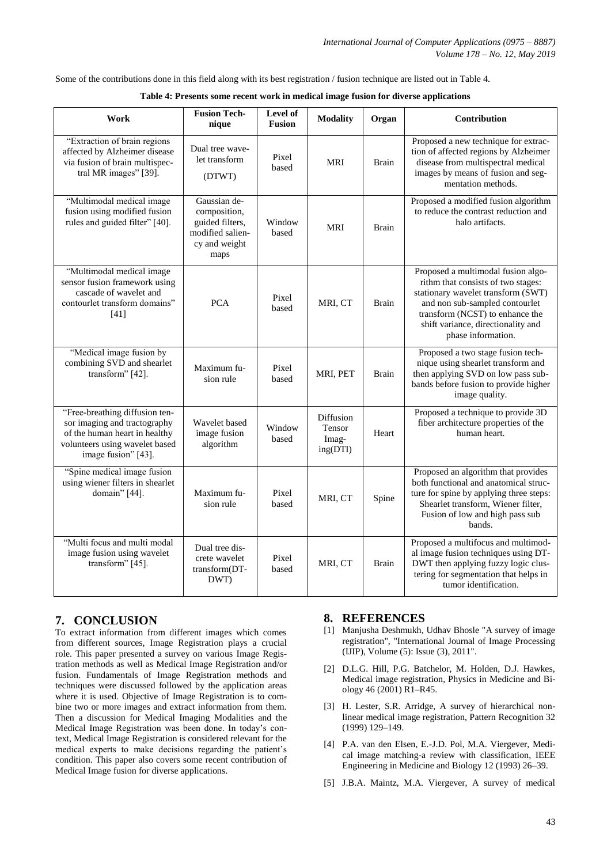Some of the contributions done in this field along with its best registration / fusion technique are listed out in Table 4.

| Work                                                                                                                                                     | <b>Fusion Tech-</b><br>nique                                                                 | Level of<br><b>Fusion</b> | <b>Modality</b>                          | Organ        | Contribution                                                                                                                                                                                                                                    |
|----------------------------------------------------------------------------------------------------------------------------------------------------------|----------------------------------------------------------------------------------------------|---------------------------|------------------------------------------|--------------|-------------------------------------------------------------------------------------------------------------------------------------------------------------------------------------------------------------------------------------------------|
| "Extraction of brain regions<br>affected by Alzheimer disease<br>via fusion of brain multispec-<br>tral MR images" [39].                                 | Dual tree wave-<br>let transform<br>(DTWT)                                                   | Pixel<br>based            | <b>MRI</b>                               | <b>Brain</b> | Proposed a new technique for extrac-<br>tion of affected regions by Alzheimer<br>disease from multispectral medical<br>images by means of fusion and seg-<br>mentation methods.                                                                 |
| "Multimodal medical image<br>fusion using modified fusion<br>rules and guided filter" [40].                                                              | Gaussian de-<br>composition,<br>guided filters,<br>modified salien-<br>cy and weight<br>maps | Window<br>based           | <b>MRI</b>                               | Brain        | Proposed a modified fusion algorithm<br>to reduce the contrast reduction and<br>halo artifacts.                                                                                                                                                 |
| "Multimodal medical image<br>sensor fusion framework using<br>cascade of wavelet and<br>contourlet transform domains"<br>$[41]$                          | <b>PCA</b>                                                                                   | Pixel<br>based            | MRI, CT                                  | <b>Brain</b> | Proposed a multimodal fusion algo-<br>rithm that consists of two stages:<br>stationary wavelet transform (SWT)<br>and non sub-sampled contourlet<br>transform (NCST) to enhance the<br>shift variance, directionality and<br>phase information. |
| "Medical image fusion by<br>combining SVD and shearlet<br>transform" [42].                                                                               | Maximum fu-<br>sion rule                                                                     | Pixel<br>based            | MRI, PET                                 | <b>Brain</b> | Proposed a two stage fusion tech-<br>nique using shearlet transform and<br>then applying SVD on low pass sub-<br>bands before fusion to provide higher<br>image quality.                                                                        |
| "Free-breathing diffusion ten-<br>sor imaging and tractography<br>of the human heart in healthy<br>volunteers using wavelet based<br>image fusion" [43]. | Wavelet based<br>image fusion<br>algorithm                                                   | Window<br>based           | Diffusion<br>Tensor<br>Imag-<br>ing(DTI) | Heart        | Proposed a technique to provide 3D<br>fiber architecture properties of the<br>human heart.                                                                                                                                                      |
| "Spine medical image fusion<br>using wiener filters in shearlet<br>domain" [44].                                                                         | Maximum fu-<br>sion rule                                                                     | Pixel<br>based            | MRI, CT                                  | Spine        | Proposed an algorithm that provides<br>both functional and anatomical struc-<br>ture for spine by applying three steps:<br>Shearlet transform, Wiener filter,<br>Fusion of low and high pass sub<br>bands.                                      |
| "Multi focus and multi modal<br>image fusion using wavelet<br>transform" [45].                                                                           | Dual tree dis-<br>crete wavelet<br>transform(DT-<br>DWT)                                     | Pixel<br>based            | MRI, CT                                  | <b>Brain</b> | Proposed a multifocus and multimod-<br>al image fusion techniques using DT-<br>DWT then applying fuzzy logic clus-<br>tering for segmentation that helps in<br>tumor identification.                                                            |

| Table 4: Presents some recent work in medical image fusion for diverse applications |  |  |  |
|-------------------------------------------------------------------------------------|--|--|--|
|                                                                                     |  |  |  |

## **7. CONCLUSION**

To extract information from different images which comes from different sources, Image Registration plays a crucial role. This paper presented a survey on various Image Registration methods as well as Medical Image Registration and/or fusion. Fundamentals of Image Registration methods and techniques were discussed followed by the application areas where it is used. Objective of Image Registration is to combine two or more images and extract information from them. Then a discussion for Medical Imaging Modalities and the Medical Image Registration was been done. In today's context, Medical Image Registration is considered relevant for the medical experts to make decisions regarding the patient's condition. This paper also covers some recent contribution of Medical Image fusion for diverse applications.

#### **8. REFERENCES**

- [1] Manjusha Deshmukh, Udhav Bhosle "A survey of image registration", "International Journal of Image Processing (IJIP), Volume (5): Issue (3), 2011".
- [2] D.L.G. Hill, P.G. Batchelor, M. Holden, D.J. Hawkes, Medical image registration, Physics in Medicine and Biology 46 (2001) R1–R45.
- [3] H. Lester, S.R. Arridge, A survey of hierarchical nonlinear medical image registration, Pattern Recognition 32 (1999) 129–149.
- [4] P.A. van den Elsen, E.-J.D. Pol, M.A. Viergever, Medical image matching-a review with classification, IEEE Engineering in Medicine and Biology 12 (1993) 26–39.
- [5] J.B.A. Maintz, M.A. Viergever, A survey of medical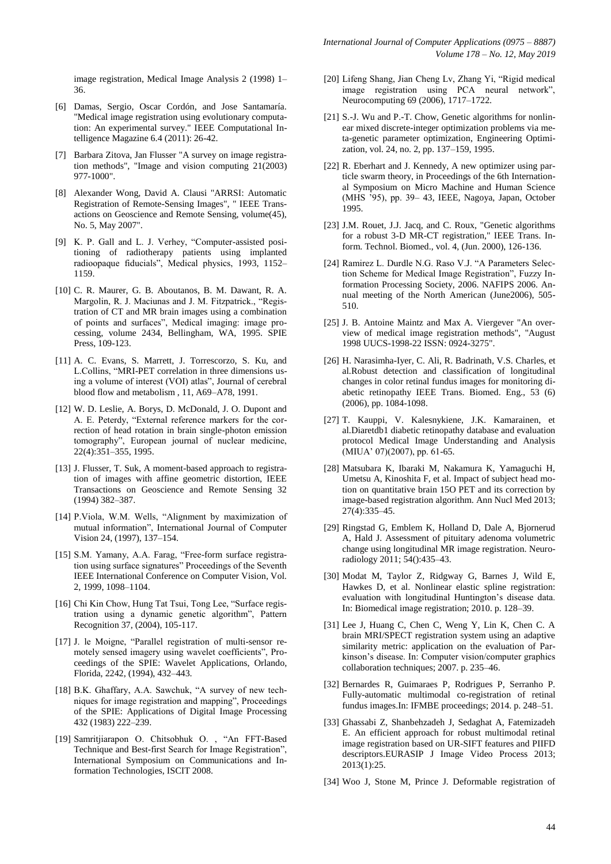image registration, Medical Image Analysis 2 (1998) 1– 36.

- [6] Damas, Sergio, Oscar Cordón, and Jose Santamaría. "Medical image registration using evolutionary computation: An experimental survey." IEEE Computational Intelligence Magazine 6.4 (2011): 26-42.
- [7] Barbara Zitova, Jan Flusser "A survey on image registration methods", "Image and vision computing 21(2003) 977-1000".
- [8] Alexander Wong, David A. Clausi "ARRSI: Automatic Registration of Remote-Sensing Images", " IEEE Transactions on Geoscience and Remote Sensing, volume(45), No. 5, May 2007".
- [9] K. P. Gall and L. J. Verhey, "Computer-assisted positioning of radiotherapy patients using implanted radioopaque fiducials", Medical physics, 1993, 1152– 1159.
- [10] C. R. Maurer, G. B. Aboutanos, B. M. Dawant, R. A. Margolin, R. J. Maciunas and J. M. Fitzpatrick., "Registration of CT and MR brain images using a combination of points and surfaces", Medical imaging: image processing, volume 2434, Bellingham, WA, 1995. SPIE Press, 109-123.
- [11] A. C. Evans, S. Marrett, J. Torrescorzo, S. Ku, and L.Collins, "MRI-PET correlation in three dimensions using a volume of interest (VOI) atlas", Journal of cerebral blood flow and metabolism , 11, A69–A78, 1991.
- [12] W. D. Leslie, A. Borys, D. McDonald, J. O. Dupont and A. E. Peterdy, "External reference markers for the correction of head rotation in brain single-photon emission tomography", European journal of nuclear medicine, 22(4):351–355, 1995.
- [13] J. Flusser, T. Suk, A moment-based approach to registration of images with affine geometric distortion, IEEE Transactions on Geoscience and Remote Sensing 32 (1994) 382–387.
- [14] P.Viola, W.M. Wells, "Alignment by maximization of mutual information", International Journal of Computer Vision 24, (1997), 137–154.
- [15] S.M. Yamany, A.A. Farag, "Free-form surface registration using surface signatures" Proceedings of the Seventh IEEE International Conference on Computer Vision, Vol. 2, 1999, 1098–1104.
- [16] Chi Kin Chow, Hung Tat Tsui, Tong Lee, "Surface registration using a dynamic genetic algorithm", Pattern Recognition 37, (2004), 105-117.
- [17] J. le Moigne, "Parallel registration of multi-sensor remotely sensed imagery using wavelet coefficients", Proceedings of the SPIE: Wavelet Applications, Orlando, Florida, 2242, (1994), 432–443.
- [18] B.K. Ghaffary, A.A. Sawchuk, "A survey of new techniques for image registration and mapping", Proceedings of the SPIE: Applications of Digital Image Processing 432 (1983) 222–239.
- [19] Samritjiarapon O. Chitsobhuk O. , "An FFT-Based Technique and Best-first Search for Image Registration", International Symposium on Communications and Information Technologies, ISCIT 2008.
- [20] Lifeng Shang, Jian Cheng Lv, Zhang Yi, "Rigid medical image registration using PCA neural network", Neurocomputing 69 (2006), 1717–1722.
- [21] S.-J. Wu and P.-T. Chow, Genetic algorithms for nonlinear mixed discrete-integer optimization problems via meta-genetic parameter optimization, Engineering Optimization, vol. 24, no. 2, pp. 137–159, 1995.
- [22] R. Eberhart and J. Kennedy, A new optimizer using particle swarm theory, in Proceedings of the 6th International Symposium on Micro Machine and Human Science (MHS '95), pp. 39– 43, IEEE, Nagoya, Japan, October 1995.
- [23] J.M. Rouet, J.J. Jacq, and C. Roux, "Genetic algorithms for a robust 3-D MR-CT registration," IEEE Trans. Inform. Technol. Biomed., vol. 4, (Jun. 2000), 126-136.
- [24] Ramirez L. Durdle N.G. Raso V.J. "A Parameters Selection Scheme for Medical Image Registration", Fuzzy Information Processing Society, 2006. NAFIPS 2006. Annual meeting of the North American (June2006), 505- 510.
- [25] J. B. Antoine Maintz and Max A. Viergever "An overview of medical image registration methods", "August 1998 UUCS-1998-22 ISSN: 0924-3275".
- [26] H. Narasimha-Iyer, C. Ali, R. Badrinath, V.S. Charles, et al.Robust detection and classification of longitudinal changes in color retinal fundus images for monitoring diabetic retinopathy IEEE Trans. Biomed. Eng., 53 (6) (2006), pp. 1084-1098.
- [27] T. Kauppi, V. Kalesnykiene, J.K. Kamarainen, et al.Diaretdb1 diabetic retinopathy database and evaluation protocol Medical Image Understanding and Analysis (MIUA' 07)(2007), pp. 61-65.
- [28] Matsubara K, Ibaraki M, Nakamura K, Yamaguchi H, Umetsu A, Kinoshita F, et al. Impact of subject head motion on quantitative brain 15O PET and its correction by image-based registration algorithm. Ann Nucl Med 2013; 27(4):335–45.
- [29] Ringstad G, Emblem K, Holland D, Dale A, Bjornerud A, Hald J. Assessment of pituitary adenoma volumetric change using longitudinal MR image registration. Neuroradiology 2011; 54():435–43.
- [30] Modat M, Taylor Z, Ridgway G, Barnes J, Wild E, Hawkes D, et al. Nonlinear elastic spline registration: evaluation with longitudinal Huntington's disease data. In: Biomedical image registration; 2010. p. 128–39.
- [31] Lee J, Huang C, Chen C, Weng Y, Lin K, Chen C. A brain MRI/SPECT registration system using an adaptive similarity metric: application on the evaluation of Parkinson's disease. In: Computer vision/computer graphics collaboration techniques; 2007. p. 235–46.
- [32] Bernardes R, Guimaraes P, Rodrigues P, Serranho P. Fully-automatic multimodal co-registration of retinal fundus images.In: IFMBE proceedings; 2014. p. 248–51.
- [33] Ghassabi Z, Shanbehzadeh J, Sedaghat A, Fatemizadeh E. An efficient approach for robust multimodal retinal image registration based on UR-SIFT features and PIIFD descriptors.EURASIP J Image Video Process 2013; 2013(1):25.
- [34] Woo J, Stone M, Prince J. Deformable registration of